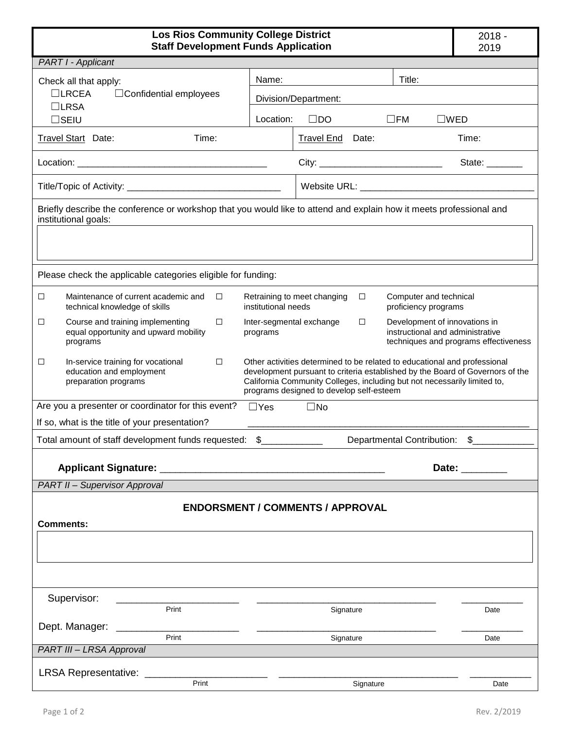| <b>Los Rios Community College District</b><br><b>Staff Development Funds Application</b>                                                    | $2018 -$<br>2019                                                                                                                                                                                                                                                                   |                                       |  |
|---------------------------------------------------------------------------------------------------------------------------------------------|------------------------------------------------------------------------------------------------------------------------------------------------------------------------------------------------------------------------------------------------------------------------------------|---------------------------------------|--|
| PART I - Applicant                                                                                                                          |                                                                                                                                                                                                                                                                                    |                                       |  |
| Check all that apply:                                                                                                                       | Title:<br>Name:                                                                                                                                                                                                                                                                    |                                       |  |
| $\Box$ LRCEA<br>$\Box$ Confidential employees                                                                                               | Division/Department:                                                                                                                                                                                                                                                               |                                       |  |
| $\Box$ LRSA<br>$\square$ SEIU                                                                                                               | Location:<br>$\square$ DO<br>$\square$ FM<br>$\square$ WED                                                                                                                                                                                                                         |                                       |  |
| Travel Start Date:<br>Time:                                                                                                                 | Travel End Date:                                                                                                                                                                                                                                                                   | Time:                                 |  |
|                                                                                                                                             |                                                                                                                                                                                                                                                                                    |                                       |  |
|                                                                                                                                             |                                                                                                                                                                                                                                                                                    | State: _______                        |  |
|                                                                                                                                             |                                                                                                                                                                                                                                                                                    |                                       |  |
| Briefly describe the conference or workshop that you would like to attend and explain how it meets professional and<br>institutional goals: |                                                                                                                                                                                                                                                                                    |                                       |  |
| Please check the applicable categories eligible for funding:                                                                                |                                                                                                                                                                                                                                                                                    |                                       |  |
| Maintenance of current academic and<br>□<br>□<br>technical knowledge of skills                                                              | Retraining to meet changing<br>Computer and technical<br>□<br>institutional needs<br>proficiency programs                                                                                                                                                                          |                                       |  |
| $\Box$<br>$\Box$<br>Course and training implementing<br>equal opportunity and upward mobility<br>programs                                   | Development of innovations in<br>Inter-segmental exchange<br>$\Box$<br>instructional and administrative<br>programs                                                                                                                                                                | techniques and programs effectiveness |  |
| In-service training for vocational<br>□<br>□<br>education and employment<br>preparation programs                                            | Other activities determined to be related to educational and professional<br>development pursuant to criteria established by the Board of Governors of the<br>California Community Colleges, including but not necessarily limited to,<br>programs designed to develop self-esteem |                                       |  |
| Are you a presenter or coordinator for this event?                                                                                          | $\Box$ Yes<br>$\square$ No                                                                                                                                                                                                                                                         |                                       |  |
| If so, what is the title of your presentation?                                                                                              |                                                                                                                                                                                                                                                                                    |                                       |  |
| Total amount of staff development funds requested: \$<br>Departmental Contribution: \$                                                      |                                                                                                                                                                                                                                                                                    |                                       |  |
| Date: <b>Example</b>                                                                                                                        |                                                                                                                                                                                                                                                                                    |                                       |  |
| <b>PART II - Supervisor Approval</b>                                                                                                        |                                                                                                                                                                                                                                                                                    |                                       |  |
| <b>ENDORSMENT / COMMENTS / APPROVAL</b><br><b>Comments:</b>                                                                                 |                                                                                                                                                                                                                                                                                    |                                       |  |
|                                                                                                                                             |                                                                                                                                                                                                                                                                                    |                                       |  |
| Supervisor:                                                                                                                                 |                                                                                                                                                                                                                                                                                    |                                       |  |
| Print                                                                                                                                       | Signature                                                                                                                                                                                                                                                                          | Date                                  |  |
| Dept. Manager: ________<br>Print                                                                                                            | Signature                                                                                                                                                                                                                                                                          | Date                                  |  |
| PART III - LRSA Approval                                                                                                                    |                                                                                                                                                                                                                                                                                    |                                       |  |
| <b>LRSA Representative:</b>                                                                                                                 |                                                                                                                                                                                                                                                                                    |                                       |  |
| Print                                                                                                                                       | Signature                                                                                                                                                                                                                                                                          | Date                                  |  |